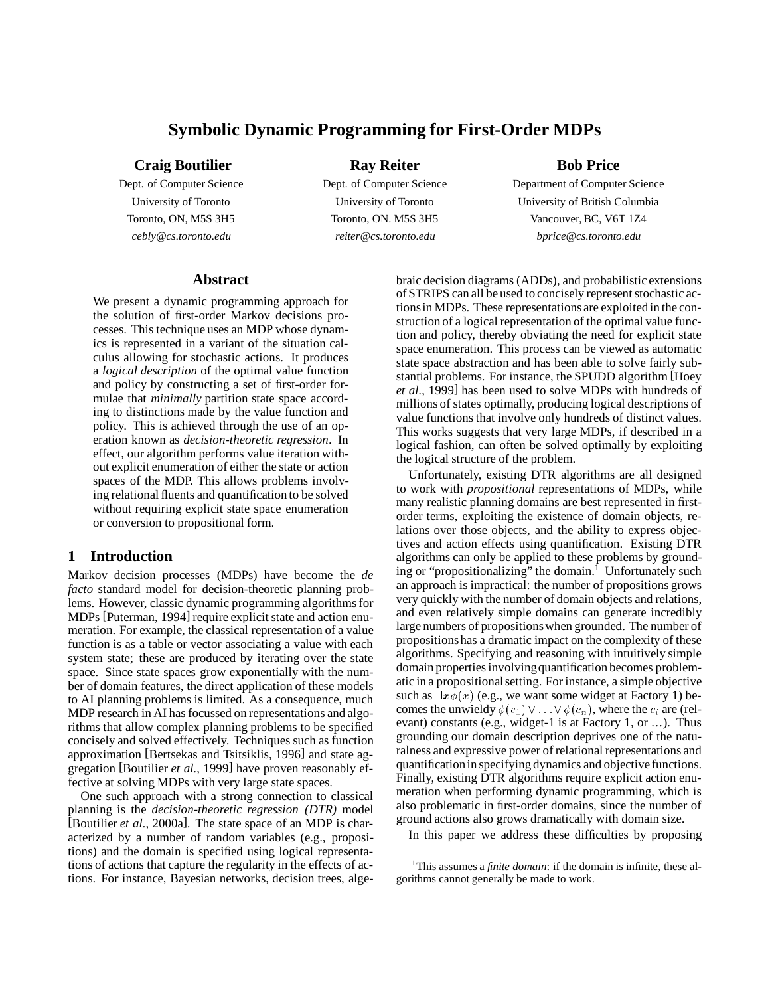# **Symbolic Dynamic Programming for First-Order MDPs**

**Craig Boutilier**

Dept. of Computer Science University of Toronto Toronto, ON, M5S 3H5 *cebly@cs.toronto.edu*

**Ray Reiter**

Dept. of Computer Science University of Toronto Toronto, ON. M5S 3H5 *reiter@cs.toronto.edu*

# **Bob Price**

Department of Computer Science University of British Columbia Vancouver, BC, V6T 1Z4 *bprice@cs.toronto.edu*

# **Abstract**

We present a dynamic programming approach for the solution of first-order Markov decisions processes. This technique uses an MDP whose dynamics is represented in a variant of the situation calculus allowing for stochastic actions. It produces a *logical description* of the optimal value function and policy by constructing a set of first-order formulae that *minimally* partition state space according to distinctions made by the value function and policy. This is achieved through the use of an operation known as *decision-theoretic regression*. In effect, our algorithm performs value iteration without explicit enumeration of either the state or action spaces of the MDP. This allows problems involving relational fluents and quantification to be solved without requiring explicit state space enumeration or conversion to propositional form.

# **1 Introduction**

Markov decision processes (MDPs) have become the *de facto* standard model for decision-theoretic planning problems. However, classic dynamic programming algorithms for MDPs [Puterman, 1994] require explicit state and action enumeration. For example, the classical representation of a value function is as a table or vector associating a value with each system state; these are produced by iterating over the state space. Since state spaces grow exponentially with the number of domain features, the direct application of these models to AI planning problems is limited. As a consequence, much MDP research in AI has focussed on representations and algorithms that allow complex planning problems to be specified concisely and solved effectively. Techniques such as function approximation [Bertsekas and Tsitsiklis, 1996] and state aggregation [Boutilier *et al.*, 1999] have proven reasonably effective at solving MDPs with very large state spaces.

One such approach with a strong connection to classical planning is the *decision-theoretic regression (DTR)* model [Boutilier *et al.*, 2000a]. The state space of an MDP is characterized by a number of random variables (e.g., propositions) and the domain is specified using logical representations of actions that capture the regularity in the effects of actions. For instance, Bayesian networks, decision trees, algebraic decision diagrams (ADDs), and probabilistic extensions of STRIPS can all be used to concisely represent stochastic actionsin MDPs. These representations are exploited in the construction of a logical representation of the optimal value function and policy, thereby obviating the need for explicit state space enumeration. This process can be viewed as automatic state space abstraction and has been able to solve fairly substantial problems. For instance, the SPUDD algorithm [Hoey *et al.*, 1999] has been used to solve MDPs with hundreds of millions of states optimally, producing logical descriptions of value functions that involve only hundreds of distinct values. This works suggests that very large MDPs, if described in a logical fashion, can often be solved optimally by exploiting the logical structure of the problem.

Unfortunately, existing DTR algorithms are all designed to work with *propositional* representations of MDPs, while many realistic planning domains are best represented in firstorder terms, exploiting the existence of domain objects, relations over those objects, and the ability to express objectives and action effects using quantification. Existing DTR algorithms can only be applied to these problems by grounding or "propositionalizing" the domain.<sup>1</sup> Unfortunately such an approach is impractical: the number of propositions grows very quickly with the number of domain objects and relations, and even relatively simple domains can generate incredibly large numbers of propositionswhen grounded. The number of propositionshas a dramatic impact on the complexity of these algorithms. Specifying and reasoning with intuitively simple domain properties involvingquantification becomes problematic in a propositional setting. For instance, a simple objective such as  $\exists x \phi(x)$  (e.g., we want some widget at Factory 1) becomes the unwieldy  $\phi(c_1) \vee \ldots \vee \phi(c_n)$ , where the  $c_i$  are (relevant) constants (e.g., widget-1 is at Factory 1, or ...). Thus grounding our domain description deprives one of the naturalness and expressive power of relational representations and quantificationin specifying dynamics and objective functions. Finally, existing DTR algorithms require explicit action enumeration when performing dynamic programming, which is also problematic in first-order domains, since the number of ground actions also grows dramatically with domain size.

In this paper we address these difficulties by proposing

<sup>1</sup>This assumes a *finite domain*: if the domain is infinite, these algorithms cannot generally be made to work.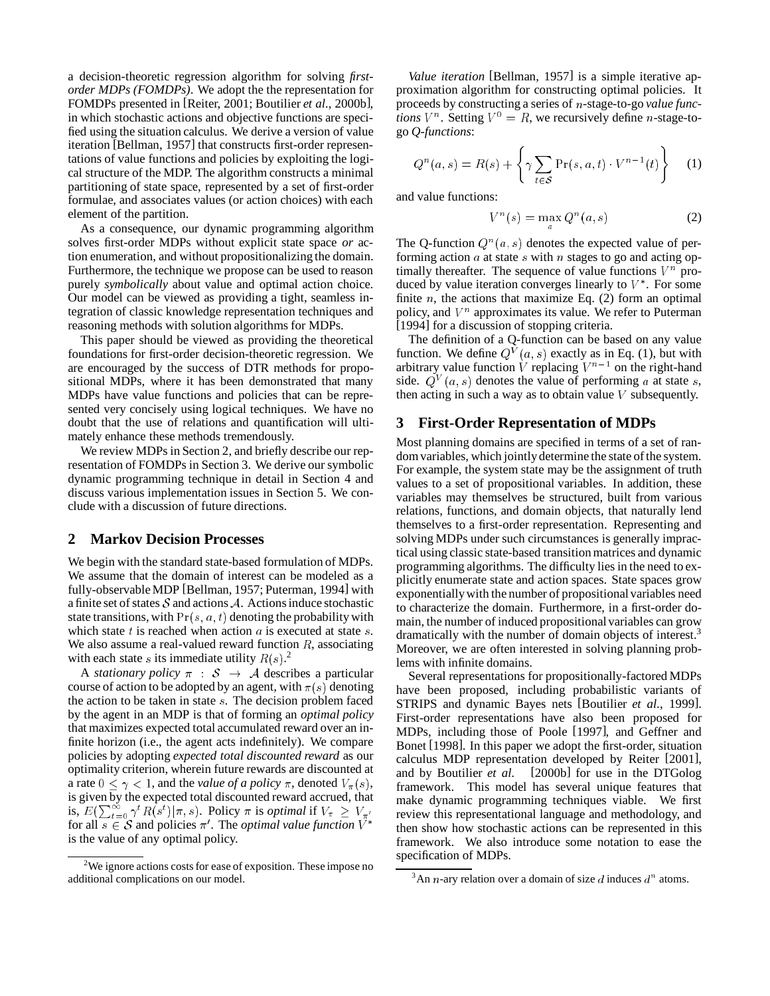a decision-theoretic regression algorithm for solving *firstorder MDPs (FOMDPs)*. We adopt the the representation for FOMDPs presented in [Reiter, 2001; Boutilier *et al.*, 2000b], in which stochastic actions and objective functions are specified using the situation calculus. We derive a version of value iteration [Bellman, 1957] that constructs first-order representations of value functions and policies by exploiting the logical structure of the MDP. The algorithm constructs a minimal partitioning of state space, represented by a set of first-order formulae, and associates values (or action choices) with each element of the partition.

As a consequence, our dynamic programming algorithm solves first-order MDPs without explicit state space *or* action enumeration, and without propositionalizing the domain. Furthermore, the technique we propose can be used to reason purely *symbolically* about value and optimal action choice. Our model can be viewed as providing a tight, seamless integration of classic knowledge representation techniques and reasoning methods with solution algorithms for MDPs.

This paper should be viewed as providing the theoretical foundations for first-order decision-theoretic regression. We are encouraged by the success of DTR methods for propositional MDPs, where it has been demonstrated that many MDPs have value functions and policies that can be represented very concisely using logical techniques. We have no doubt that the use of relations and quantification will ultimately enhance these methods tremendously.

We review MDPs in Section 2, and briefly describe our representation of FOMDPs in Section 3. We derive our symbolic dynamic programming technique in detail in Section 4 and discuss various implementation issues in Section 5. We conclude with a discussion of future directions.

# **2 Markov Decision Processes**

We begin with the standard state-based formulation of MDPs. We assume that the domain of interest can be modeled as a fully-observable MDP [Bellman, 1957; Puterman, 1994] with a finite set of states  $S$  and actions  $A$ . Actions induce stochastic state transitions, with  $Pr(s, a, t)$  denoting the probability with which state t is reached when action  $a$  is executed at state  $s$ . We also assume a real-valued reward function  $R$ , associating with each state s its immediate utility  $R(s)$ .<sup>2</sup>

A *stationary policy*  $\pi : S \rightarrow A$  describes a particular course of action to be adopted by an agent, with  $\pi(s)$  denoting the action to be taken in state <sup>s</sup>. The decision problem faced by the agent in an MDP is that of forming an *optimal policy* that maximizes expected total accumulated reward over an infinite horizon (i.e., the agent acts indefinitely). We compare policies by adopting *expected total discounted reward* as our optimality criterion, wherein future rewards are discounted at a rate  $0 \leq \gamma < 1$ , and the *value of a policy*  $\pi$ , denoted  $V_{\pi}(s)$ , is given by the expected total discounted reward accrued, that is,  $E(\sum_{t=0}^{\infty} \gamma^t R(s^t) | \pi, s)$ . Policy  $\pi$  is *optimal* if  $V_{\pi} \geq V_{\pi'}$ . for all  $s \in S$  and policies  $\pi'$ . The *optimal value function*  $V^*$ is the value of any optimal policy.

*Value iteration* [Bellman, 1957] is a simple iterative approximation algorithm for constructing optimal policies. It proceeds by constructing a series of <sup>n</sup>-stage-to-go *value functions*  $V^n$ . Setting  $V^0 = R$ , we recursively define *n*-stage-togo *Q-functions*:

$$
Q^{n}(a,s) = R(s) + \left\{\gamma \sum_{t \in S} \Pr(s, a, t) \cdot V^{n-1}(t)\right\} \quad (1)
$$

and value functions:

$$
V^n(s) = \max_{a} Q^n(a, s) \tag{2}
$$

The Q-function  $Q^n(a, s)$  denotes the expected value of performing action  $a$  at state  $s$  with  $n$  stages to go and acting optimally thereafter. The sequence of value functions  $V^n$  produced by value iteration converges linearly to  $V^*$ . For some finite  $n$ , the actions that maximize Eq. (2) form an optimal policy, and  $V^n$  approximates its value. We refer to Puterman [1994] for a discussion of stopping criteria.

The definition of a Q-function can be based on any value function. We define  $Q^V(a, s)$  exactly as in Eq. (1), but with arbitrary value function V replacing  $V^{n-1}$  on the right-hand side.  $Q^V(a, s)$  denotes the value of performing a at state s, then acting in such a way as to obtain value  $V$  subsequently.

# **3 First-Order Representation of MDPs**

Most planning domains are specified in terms of a set of random variables, which jointlydetermine the state of the system. For example, the system state may be the assignment of truth values to a set of propositional variables. In addition, these variables may themselves be structured, built from various relations, functions, and domain objects, that naturally lend themselves to a first-order representation. Representing and solving MDPs under such circumstances is generally impractical using classic state-based transition matrices and dynamic programming algorithms. The difficulty lies in the need to explicitly enumerate state and action spaces. State spaces grow exponentiallywith the number of propositional variables need to characterize the domain. Furthermore, in a first-order domain, the number of induced propositional variables can grow dramatically with the number of domain objects of interest.<sup>3</sup> Moreover, we are often interested in solving planning problems with infinite domains.

Several representations for propositionally-factored MDPs have been proposed, including probabilistic variants of STRIPS and dynamic Bayes nets [Boutilier *et al.*, 1999]. First-order representations have also been proposed for MDPs, including those of Poole [1997], and Geffner and Bonet [1998]. In this paper we adopt the first-order, situation calculus MDP representation developed by Reiter [2001], and by Boutilier *et al.* [2000b] for use in the DTGolog framework. This model has several unique features that make dynamic programming techniques viable. We first review this representational language and methodology, and then show how stochastic actions can be represented in this framework. We also introduce some notation to ease the specification of MDPs.

<sup>2</sup>We ignore actions costs for ease of exposition. These impose no additional complications on our model.

<sup>&</sup>lt;sup>3</sup>An *n*-ary relation over a domain of size *d* induces  $d^n$  atoms.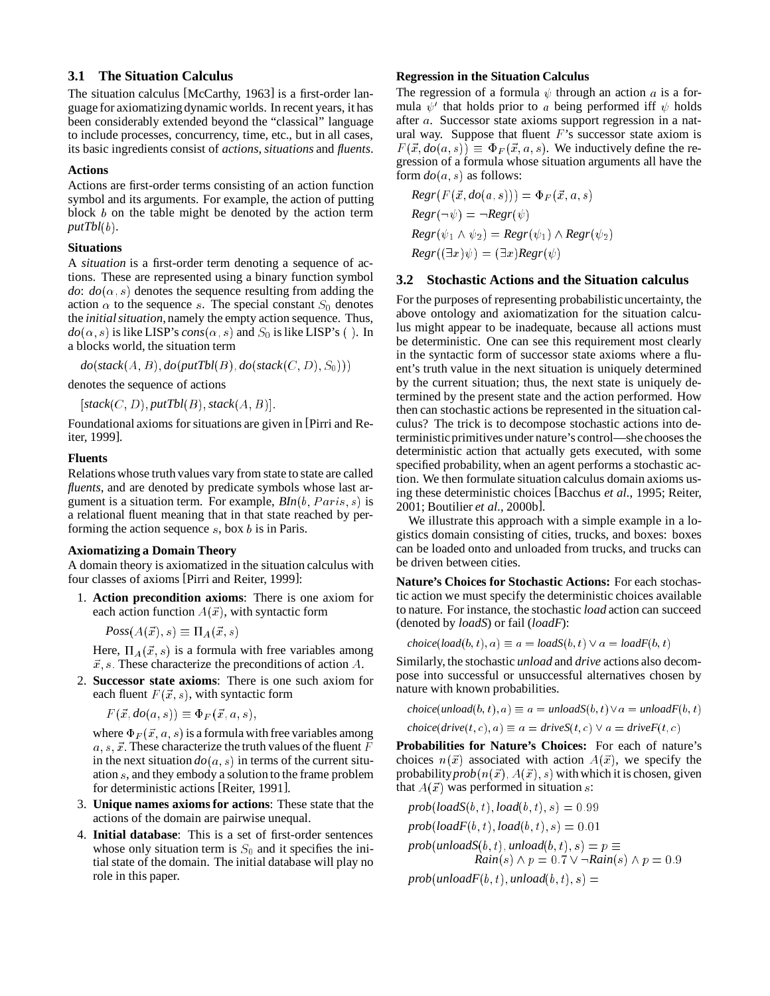# **3.1 The Situation Calculus**

The situation calculus [McCarthy, 1963] is a first-order language for axiomatizingdynamic worlds. In recent years, it has been considerably extended beyond the "classical" language to include processes, concurrency, time, etc., but in all cases, its basic ingredients consist of *actions*, *situations* and *fluents*.

#### **Actions**

Actions are first-order terms consisting of an action function symbol and its arguments. For example, the action of putting block  $b$  on the table might be denoted by the action term *putTbl*(b).

#### **Situations**

A *situation* is a first-order term denoting a sequence of actions. These are represented using a binary function symbol *do*:  $do(\alpha, s)$  denotes the sequence resulting from adding the action  $\alpha$  to the sequence s. The special constant  $S_0$  denotes the *initial situation*, namely the empty action sequence. Thus,  $do(\alpha, s)$  is like LISP's *cons*( $\alpha, s$ ) and  $S_0$  is like LISP's (). In a blocks world, the situation term

 $do({stack(A,B), do(putTbl(B), do({stack(C,D), S_0)}))}$ 

denotes the sequence of actions

 $[stack(C, D), putTbl(B), stack(A, B)].$ 

Foundational axioms for situations are given in [Pirri and Reiter, 1999].

# **Fluents**

Relations whose truth values vary from state to state are called *fluents*, and are denoted by predicate symbols whose last argument is a situation term. For example,  $BIn(b, Paris, s)$  is a relational fluent meaning that in that state reached by performing the action sequence  $s$ , box  $b$  is in Paris.

#### **Axiomatizing a Domain Theory**

A domain theory is axiomatized in the situation calculus with four classes of axioms [Pirri and Reiter, 1999]:

1. **Action precondition axioms**: There is one axiom for each action function  $A(\vec{x})$ , with syntactic form

 $Poss(A(\vec{x}), s) \equiv \Pi_A(\vec{x}, s)$ 

Here,  $\Pi_A(\vec{x}, s)$  is a formula with free variables among  $\vec{x}$ , s: These characterize the preconditions of action A.

2. **Successor state axioms**: There is one such axiom for each fluent  $F(\vec{x}, s)$ , with syntactic form

 $F(\vec{x}, do(a, s)) \equiv \Phi_F(\vec{x}, a, s),$ 

where  $\Phi_F (\vec{x}, a, s)$  is a formula with free variables among  $a, s, \vec{x}$ . These characterize the truth values of the fluent  $F$ in the next situation  $do(a, s)$  in terms of the current situation <sup>s</sup>, and they embody a solution to the frame problem for deterministic actions [Reiter, 1991].

- 3. **Unique names axioms for actions**: These state that the actions of the domain are pairwise unequal.
- 4. **Initial database**: This is a set of first-order sentences whose only situation term is  $S_0$  and it specifies the initial state of the domain. The initial database will play no role in this paper.

#### **Regression in the Situation Calculus**

The regression of a formula  $\psi$  through an action a is a formula  $\psi'$  that holds prior to a being performed iff  $\psi$  holds after <sup>a</sup>. Successor state axioms support regression in a natural way. Suppose that fluent  $F$ 's successor state axiom is  $F(\vec{x}, do(a, s)) \equiv \Phi_F(\vec{x}, a, s)$ . We inductively define the regression of a formula whose situation arguments all have the form  $do(a, s)$  as follows:

$$
Regr(F(\vec{x}, do(a, s))) = \Phi_F(\vec{x}, a, s)
$$
  
\n
$$
Regr(\neg \psi) = \neg Regr(\psi)
$$
  
\n
$$
Regr(\psi_1 \land \psi_2) = Regr(\psi_1) \land Regr(\psi_2)
$$
  
\n
$$
Regr((\exists x)\psi) = (\exists x)Regr(\psi)
$$

# **3.2 Stochastic Actions and the Situation calculus**

For the purposes of representing probabilistic uncertainty, the above ontology and axiomatization for the situation calculus might appear to be inadequate, because all actions must be deterministic. One can see this requirement most clearly in the syntactic form of successor state axioms where a fluent's truth value in the next situation is uniquely determined by the current situation; thus, the next state is uniquely determined by the present state and the action performed. How then can stochastic actions be represented in the situation calculus? The trick is to decompose stochastic actions into deterministicprimitives under nature's control—she chooses the deterministic action that actually gets executed, with some specified probability, when an agent performs a stochastic action. We then formulate situation calculus domain axioms using these deterministic choices [Bacchus *et al.*, 1995; Reiter, 2001; Boutilier *et al.*, 2000b].

We illustrate this approach with a simple example in a logistics domain consisting of cities, trucks, and boxes: boxes can be loaded onto and unloaded from trucks, and trucks can be driven between cities.

**Nature's Choices for Stochastic Actions:** For each stochastic action we must specify the deterministic choices available to nature. For instance, the stochastic *load* action can succeed (denoted by *loadS*) or fail (*loadF*):

 $choice(load(b, t), a) \equiv a = loadS(b, t) \vee a = loadF(b, t)$ 

Similarly, the stochastic *unload* and *drive* actions also decompose into successful or unsuccessful alternatives chosen by nature with known probabilities.

```
choice(unload(b, t), a) \equiv a =unloadS(b, t) \vee a =unloadF(b, t)choice(<i>drive</i>(t, c), a) \equiv a = driveS(t, c) \vee a = driveF(t, c)
```
**Probabilities for Nature's Choices:** For each of nature's choices  $n(\vec{x})$  associated with action  $A(\vec{x})$ , we specify the probability  $prob(n(\vec{x}), A(\vec{x}), s)$  with which it is chosen, given that  $A(\vec{x})$  was performed in situation s:

$$
prob(loadS(b, t), load(b, t), s) = 0.99
$$

 $prob(loadF(b, t), load(b, t), s) = 0.01$ 

 $prob(unloadS(b, t), unload(b, t), s) = p \equiv$ *Rain*(s)  $\land$  *p* = 0.7  $\lor$   $\neg$ *Rain*(s)  $\land$  *p* = 0.9

 $prob($ *unloadF* $(b, t)$ *, unload* $(b, t)$ *, s*) =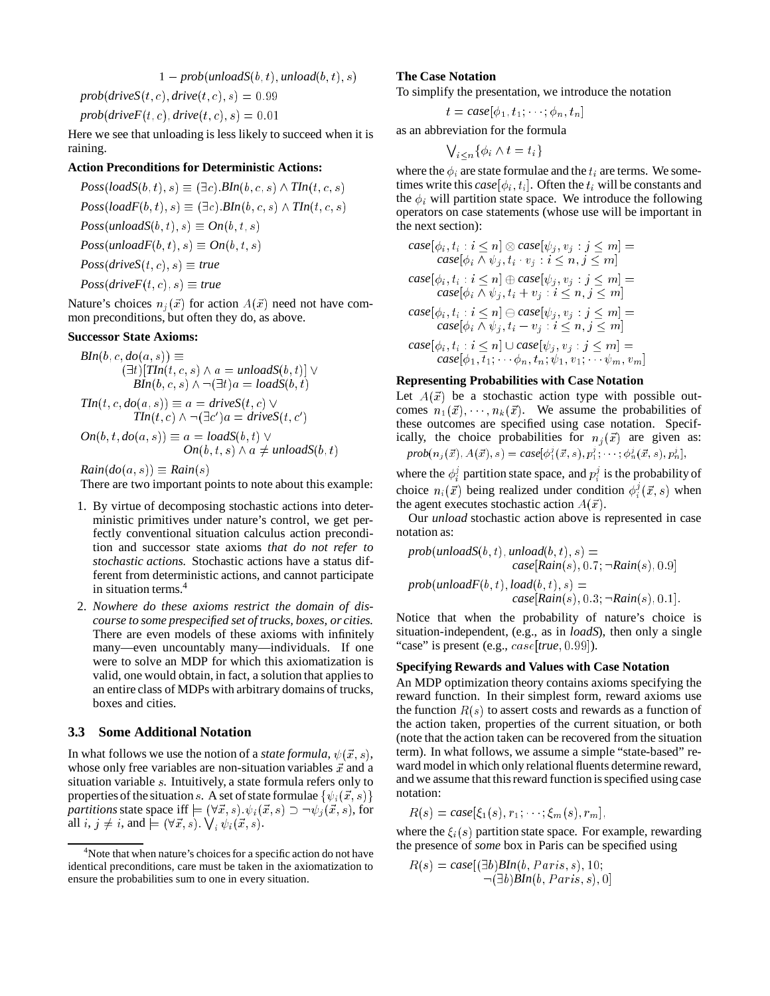$$
1-prob(unloadS(b, t), unload(b, t), s)
$$

 $prob(driveS(t, c), drive(t, c), s) = 0.99$ 

 $prob(driveF(t, c), drive(t, c), s) = 0.01$ 

Here we see that unloading is less likely to succeed when it is raining.

# **Action Preconditions for Deterministic Actions:**

 $Poss(loadS(b, t), s) \equiv (\exists c). \text{BIn}(b, c, s) \wedge \text{TIn}(t, c, s)$  $Poss(loadF(b, t), s) \equiv (\exists c). \text{BIn}(b, c, s) \wedge \text{TIn}(t, c, s)$  $Poss(unloadS(b, t), s) \equiv On(b, t, s)$  $Poss(unloadF(b,t), s) \equiv On(b,t,s)$  $Poss(driveS(t, c), s) \equiv true$  $Poss(driveF(t, c), s) \equiv true$ 

Nature's choices  $n_j(\vec{x})$  for action  $A(\vec{x})$  need not have common preconditions, but often they do, as above.

#### **Successor State Axioms:**

$$
BIn(b, c, do(a, s)) \equiv
$$
  
\n
$$
(\exists t)[TIn(t, c, s) \land a = unloadS(b, t)] \lor
$$
  
\n
$$
BIn(b, c, s) \land \neg(\exists t)a = loadS(b, t)
$$
  
\n
$$
TIn(t, c, do(a, s)) \equiv a = driveS(t, c) \lor
$$
  
\n
$$
TIn(t, c) \land \neg(\exists c')a = driveS(t, c')
$$
  
\n
$$
On(b, t, do(a, s)) \equiv a = loadS(b, t) \lor
$$
  
\n
$$
On(b, t, s) \land a \neq unloadS(b, t)
$$

 $Rain(do(a, s)) \equiv Rain(s)$ 

There are two important points to note about this example:

- 1. By virtue of decomposing stochastic actions into deterministic primitives under nature's control, we get perfectly conventional situation calculus action precondition and successor state axioms *that do not refer to stochastic actions.* Stochastic actions have a status different from deterministic actions, and cannot participate in situation terms.<sup>4</sup>
- 2. *Nowhere do these axioms restrict the domain of discourse to some prespecified set of trucks, boxes, or cities.* There are even models of these axioms with infinitely many—even uncountably many—individuals. If one were to solve an MDP for which this axiomatization is valid, one would obtain, in fact, a solution that applies to an entire class of MDPs with arbitrary domains of trucks, boxes and cities.

# **3.3 Some Additional Notation**

In what follows we use the notion of a *state formula*,  $\psi(\vec{x}, s)$ , whose only free variables are non-situation variables  $\vec{x}$  and a situation variable <sup>s</sup>. Intuitively, a state formula refers only to properties of the situation s. A set of state formulae  $\{\psi_i(\vec{x}, s)\}$ *partitions* state space if  $\models (\forall \vec{x}, s) \cdot \psi_i(\vec{x}, s) \supset \neg \psi_j(\vec{x}, s)$ , for all  $i, j \neq i$ , and  $\models (\forall \vec{x}, s) \ \bigvee_i \psi_i(\vec{x}, s)$ .

# **The Case Notation**

To simplify the presentation, we introduce the notation

$$
t = case[\phi_1, t_1; \cdots; \phi_n, t_n]
$$

as an abbreviation for the formula

$$
\bigvee_{i < n} \{ \phi_i \wedge t = t_i \}
$$

where the  $\phi_i$  are state formulae and the  $t_i$  are terms. We sometimes write this  $case[\phi_i, t_i]$ . Often the  $t_i$  will be constants and the  $\phi_i$  will partition state space. We introduce the following operators on case statements (whose use will be important in the next section):

$$
\begin{aligned}\n\text{case}[\phi_i, t_i : i \leq n] \otimes \text{case}[\psi_j, v_j : j \leq m] = \\
\text{case}[\phi_i \wedge \psi_j, t_i \cdot v_j : i \leq n, j \leq m] \\
\text{case}[\phi_i, t_i : i \leq n] \oplus \text{case}[\psi_j, v_j : j \leq m] = \\
\text{case}[\phi_i \wedge \psi_j, t_i + v_j : i \leq n, j \leq m] \\
\text{case}[\phi_i, t_i : i \leq n] \ominus \text{case}[\psi_j, v_j : j \leq m] = \\
\text{case}[\phi_i \wedge \psi_j, t_i - v_j : i \leq n, j \leq m] \\
\text{case}[\phi_i, t_i : i \leq n] \cup \text{case}[\psi_j, v_j : j \leq m] = \\
\text{case}[\phi_1, t_1; \cdots \phi_n, t_n; \psi_1, v_1; \cdots \psi_m, v_m]\n\end{aligned}
$$

# **Representing Probabilities with Case Notation**

Let  $A(\vec{x})$  be a stochastic action type with possible outcomes  $n_1(\vec{x})$ ,  $n_k(\vec{x})$ . We assume the probabilities of these outcomes are specified using case notation. Specifically, the choice probabilities for  $n_i(\vec{x})$  are given as:  $prob(n_j(\vec{x}), A(\vec{x}), s) = case[\phi_1^j(\vec{x}, s), p_1^j; \cdots; \phi_n^j(\vec{x}, s), p_n^j],$ 

where the  $\phi_i^j$  partition state space, and  $p_i^j$  is the probability of choice  $n_i(\vec{x})$  being realized under condition  $\phi_i^j(\vec{x}, s)$  when the agent executes stochastic action  $A(\vec{x})$ .

Our *unload* stochastic action above is represented in case notation as:

$$
prob(unloadS(b, t), unload(b, t), s) = \\ case[Rain(s), 0.7; \neg Rain(s), 0.9]
$$

$$
prob(unloadF(b, t), load(b, t), s) = \\ case[Rain(s), 0.3; \neg Rain(s), 0.1].
$$

Notice that when the probability of nature's choice is situation-independent, (e.g., as in *loadS*), then only a single "case" is present (e.g., *case* [true, 0.99]).

# **Specifying Rewards and Values with Case Notation**

An MDP optimization theory contains axioms specifying the reward function. In their simplest form, reward axioms use the function  $R(s)$  to assert costs and rewards as a function of the action taken, properties of the current situation, or both (note that the action taken can be recovered from the situation term). In what follows, we assume a simple "state-based" reward model in which only relational fluents determine reward, and we assume that this reward function is specified using case notation:

$$
R(s) = case[\xi_1(s), r_1; \cdots; \xi_m(s), r_m],
$$

where the  $\xi_i(s)$  partition state space. For example, rewarding the presence of *some* box in Paris can be specified using

$$
R(s) = case[(\exists b)B\text{In}(b, Paris, s), 10; \neg(\exists b)B\text{In}(b, Paris, s), 0]
$$

<sup>&</sup>lt;sup>4</sup>Note that when nature's choices for a specific action do not have identical preconditions, care must be taken in the axiomatization to ensure the probabilities sum to one in every situation.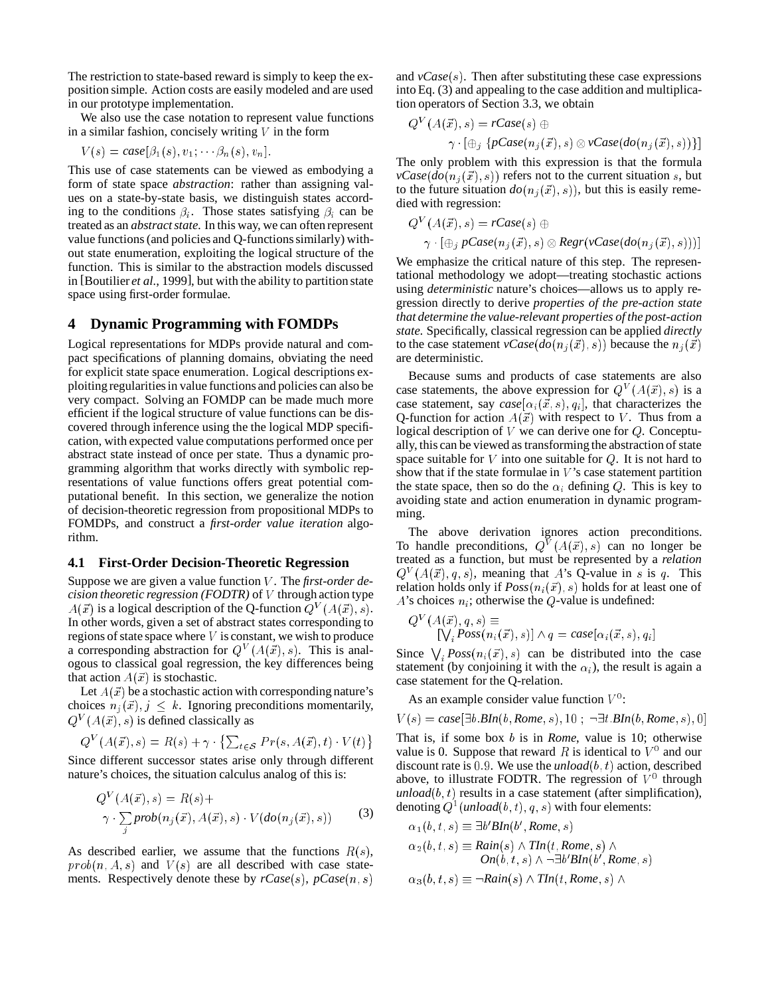The restriction to state-based reward is simply to keep the exposition simple. Action costs are easily modeled and are used in our prototype implementation.

We also use the case notation to represent value functions in a similar fashion, concisely writing  $V$  in the form

$$
V(s) = case[\beta_1(s), v_1; \cdots; \beta_n(s), v_n].
$$

This use of case statements can be viewed as embodying a form of state space *abstraction*: rather than assigning values on a state-by-state basis, we distinguish states according to the conditions  $\beta_i$ . Those states satisfying  $\beta_i$  can be treated as an *abstract state*. In this way, we can often represent value functions (and policies and Q-functions similarly) without state enumeration, exploiting the logical structure of the function. This is similar to the abstraction models discussed in [Boutilier *et al.*, 1999], but with the ability to partition state space using first-order formulae.

# **4 Dynamic Programming with FOMDPs**

Logical representations for MDPs provide natural and compact specifications of planning domains, obviating the need for explicit state space enumeration. Logical descriptions exploitingregularities in value functions and policies can also be very compact. Solving an FOMDP can be made much more efficient if the logical structure of value functions can be discovered through inference using the the logical MDP specification, with expected value computations performed once per abstract state instead of once per state. Thus a dynamic programming algorithm that works directly with symbolic representations of value functions offers great potential computational benefit. In this section, we generalize the notion of decision-theoretic regression from propositional MDPs to FOMDPs, and construct a *first-order value iteration* algorithm.

#### **4.1 First-Order Decision-Theoretic Regression**

Suppose we are given a value function <sup>V</sup> . The *first-order decision theoretic regression (FODTR)* of <sup>V</sup> through action type  $A(\vec{x})$  is a logical description of the Q-function  $Q^V(A(\vec{x}), s)$ . In other words, given a set of abstract states corresponding to regions of state space where  $V$  is constant, we wish to produce a corresponding abstraction for  $Q^V(A(\vec{x}), s)$ . This is analogous to classical goal regression, the key differences being that action  $A(\vec{x})$  is stochastic.

Let  $A(\vec{x})$  be a stochastic action with corresponding nature's choices  $n_j(\vec{x}), j \leq k$ . Ignoring preconditions momentarily,  $Q^V(A(\vec{x}), s)$  is defined classically as

$$
Q^{V}(A(\vec{x}), s) = R(s) + \gamma \cdot \left\{ \sum_{t \in \mathcal{S}} Pr(s, A(\vec{x}), t) \cdot V(t) \right\}
$$

Since different successor states arise only through different nature's choices, the situation calculus analog of this is:

$$
Q^{V}(A(\vec{x}), s) = R(s) +
$$
  

$$
\gamma \cdot \sum_{j} prob(n_j(\vec{x}), A(\vec{x}), s) \cdot V(do(n_j(\vec{x}), s))
$$
 (3)

As described earlier, we assume that the functions  $R(s)$ ,  $prob(n, A, s)$  and  $V(s)$  are all described with case statements. Respectively denote these by *rCase*(s), *pCase*(n; s)

and *vCase*(s). Then after substituting these case expressions into Eq. (3) and appealing to the case addition and multiplication operators of Section 3.3, we obtain

$$
Q^V(A(\vec{x}), s) = rCase(s) \oplus
$$
  

$$
\gamma \cdot [\oplus_j \{pCase(n_j(\vec{x}), s) \otimes vCase(do(n_j(\vec{x}), s))\}]
$$

The only problem with this expression is that the formula  $vCase(dofn_i(\vec{x}), s)$  refers not to the current situation s, but to the future situation  $do(n_i(\vec{x}), s)$ , but this is easily remedied with regression:

$$
Q^{V}(A(\vec{x}), s) = rCase(s) \oplus
$$
  

$$
\gamma \cdot [\oplus_j pCase(n_j(\vec{x}), s) \otimes Regr(vCase(do(n_j(\vec{x}), s)))]
$$

We emphasize the critical nature of this step. The representational methodology we adopt—treating stochastic actions using *deterministic* nature's choices—allows us to apply regression directly to derive *properties of the pre-action state that determine the value-relevant properties of the post-action state*. Specifically, classical regression can be applied *directly* to the case statement  $vCase(do(n_i(\vec{x}), s))$  because the  $n_i(\vec{x})$ are deterministic.

Because sums and products of case statements are also case statements, the above expression for  $Q^V(A(\vec{x}), s)$  is a case statement, say  $case[\alpha_i(\vec{x}, s), q_i]$ , that characterizes the Q-function for action  $A(\vec{x})$  with respect to V. Thus from a logical description of  $V$  we can derive one for  $Q$ . Conceptually, this can be viewed as transforming the abstraction of state space suitable for  $V$  into one suitable for  $Q$ . It is not hard to show that if the state formulae in  $V$ 's case statement partition the state space, then so do the  $\alpha_i$  defining Q. This is key to avoiding state and action enumeration in dynamic programming.

The above derivation ignores action preconditions. To handle preconditions,  $Q^V(A(\vec{x}), s)$  can no longer be treated as a function, but must be represented by a *relation*  $Q^V(A(\vec{x}), q, s)$ , meaning that A's Q-value in s is q. This relation holds only if  $Poss(n_i(\vec{x}), s)$  holds for at least one of A's choices  $n_i$ ; otherwise the Q-value is undefined:

$$
Q^V(A(\vec{x}), q, s) \equiv \left[\bigvee_i \text{Poss}(n_i(\vec{x}), s)\right] \wedge q = \text{case}[\alpha_i(\vec{x}, s), q_i]
$$

Since  $\bigvee_i Poss(n_i(\vec{x}), s)$  can be distributed into the case statement (by conjoining it with the  $\alpha_i$ ), the result is again a case statement for the Q-relation.

As an example consider value function  $V^0$ :

 $V(s) = case[\exists b \, BIn(b, Rome, s), 10; \neg \exists t \, BIn(b, Rome, s), 0]$ 

That is, if some box <sup>b</sup> is in *Rome*, value is 10; otherwise value is 0. Suppose that reward R is identical to  $V^0$  and our discount rate is  $0.9$ . We use the *unload*( $b, t$ ) action, described above, to illustrate FODTR. The regression of  $V^0$  through  $u$ nload $(b, t)$  results in a case statement (after simplification), denoting  $Q^1($ *unload* $(b, t), q, s)$  with four elements:

$$
\alpha_1(b, t, s) \equiv \exists b' B In(b', Rome, s)
$$
  
\n
$$
\alpha_2(b, t, s) \equiv Rain(s) \land Tin(t, Rome, s) \land
$$
  
\n
$$
On(b, t, s) \land \neg \exists b' B In(b', Rome, s)
$$
  
\n
$$
\alpha_3(b, t, s) \equiv \neg Rain(s) \land TIn(t, Rome, s) \land
$$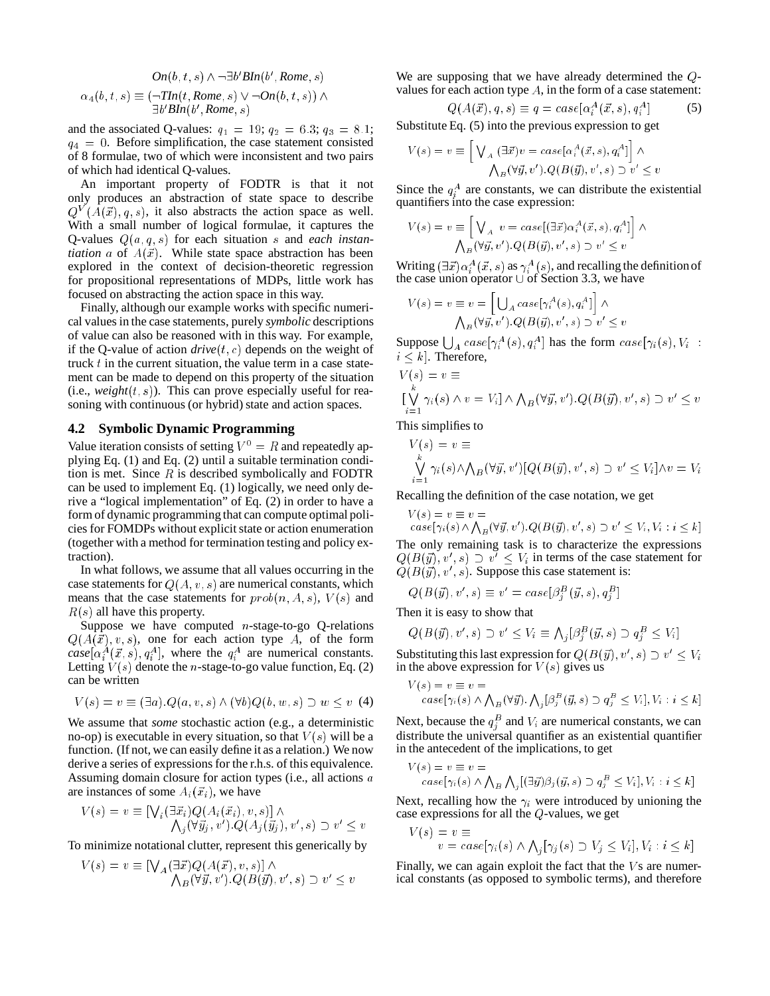$$
On(b, t, s) \land \neg \exists b' B In(b', Rome, s)
$$

$$
\alpha_4(b, t, s) \equiv (\neg \text{TIn}(t, Rome, s) \lor \neg \text{On}(b, t, s)) \land \exists b' B In(b', Rome, s)
$$

and the associated Q-values:  $q_1 = 19$ ;  $q_2 = 6.3$ ;  $q_3 = 8.1$ ;  $q_4 = 0$ . Before simplification, the case statement consisted of 8 formulae, two of which were inconsistent and two pairs of which had identical Q-values.

An important property of FODTR is that it not only produces an abstraction of state space to describe  $Q^V(A(\vec{x}), q, s)$ , it also abstracts the action space as well. With a small number of logical formulae, it captures the Q-values Q(a; q; s) for each situation <sup>s</sup> and *each instantiation* a of  $A(\vec{x})$ . While state space abstraction has been explored in the context of decision-theoretic regression for propositional representations of MDPs, little work has focused on abstracting the action space in this way.

Finally, although our example works with specific numerical values in the case statements, purely *symbolic* descriptions of value can also be reasoned with in this way. For example, if the Q-value of action  $drive(t, c)$  depends on the weight of truck  $t$  in the current situation, the value term in a case statement can be made to depend on this property of the situation  $(i.e., weight(t, s))$ . This can prove especially useful for reasoning with continuous (or hybrid) state and action spaces.

#### **4.2 Symbolic Dynamic Programming**

Value iteration consists of setting  $V^0 = R$  and repeatedly applying Eq. (1) and Eq. (2) until a suitable termination condition is met. Since  $R$  is described symbolically and FODTR can be used to implement Eq. (1) logically, we need only derive a "logical implementation" of Eq. (2) in order to have a form of dynamic programming that can compute optimal policies for FOMDPs without explicit state or action enumeration (together with a method for termination testing and policy extraction).

In what follows, we assume that all values occurring in the case statements for  $Q(A, v, s)$  are numerical constants, which means that the case statements for  $prob(n, A, s)$ ,  $V(s)$  and  $R(s)$  all have this property.

Suppose we have computed  $n$ -stage-to-go Q-relations  $Q(A(\vec{x}), v, s)$ , one for each action type A, of the form  $case[\alpha_i^A(\vec{x}, s), q_i^A]$ , where the  $q_i^A$  are numerical constants. Letting  $V(s)$  denote the *n*-stage-to-go value function, Eq. (2) can be written

$$
V(s) = v \equiv (\exists a) . Q(a, v, s) \land (\forall b) Q(b, w, s) \supset w \leq v \tag{4}
$$

We assume that *some* stochastic action (e.g., a deterministic no-op) is executable in every situation, so that  $V(s)$  will be a function. (If not, we can easily define it as a relation.) We now derive a series of expressions for the r.h.s. of this equivalence. Assuming domain closure for action types (i.e., all actions <sup>a</sup> are instances of some  $A_i(\vec{x}_i)$ , we have

$$
V(s) = v \equiv \left[ \bigvee_i (\exists \vec{x}_i) Q(A_i(\vec{x}_i), v, s) \right] \wedge \n\bigwedge_j (\forall \vec{y}_j, v') . Q(A_j(\vec{y}_j), v', s) \supset v' \leq v
$$

To minimize notational clutter, represent this generically by

$$
V(s) = v \equiv \left[ \bigvee_{A} (\exists \vec{x}) Q(A(\vec{x}), v, s) \right] \wedge \bigwedge_{B} (\forall \vec{y}, v') \cdot Q(B(\vec{y}), v', s) \supset v' \le v
$$

We are supposing that we have already determined the Qvalues for each action type  $A$ , in the form of a case statement:

$$
Q(A(\vec{x}), q, s) \equiv q = case[\alpha_i^A(\vec{x}, s), q_i^A]
$$
 (5)

Substitute Eq. (5) into the previous expression to get

$$
V(s) = v \equiv \left[ \bigvee_{A} (\exists \vec{x}) v = case[\alpha_i^A(\vec{x}, s), q_i^A] \right] \wedge \wedge_B(\forall \vec{y}, v'). Q(B(\vec{y}), v', s) \supset v' \leq v
$$

Since the  $q_i^A$  are constants, we can distribute the existential quantifiers into the case expression:

$$
V(s) = v \equiv \left[ \bigvee_A v = case[(\exists \vec{x}) \alpha_i^A(\vec{x}, s), q_i^A] \right] \wedge \bigwedge_B (\forall \vec{y}, v') . Q(B(\vec{y}), v', s) \supset v' \le v
$$

Writing  $(\exists \vec{x}) \alpha_i^A(\vec{x}, s)$  as  $\gamma_i^A(s)$ , and recalling the definition of the case union operator  $\cup$  of Section 3.3, we have

$$
V(s) = v \equiv v = \left[ \bigcup_{A} case[\gamma_i^{A}(s), q_i^{A}] \right] \wedge
$$

$$
\bigwedge_{B} (\forall \vec{y}, v') . Q(B(\vec{y}), v', s) \supset v' \leq v
$$

Suppose  $\bigcup_{A} case[\gamma_i^A(s), q_i^A]$  has the form  $case[\gamma_i(s), V_i]$ :  $i \leq k$ . Therefore,

$$
V(s) = v \equiv
$$
  
\n
$$
[\bigvee_{i=1}^{k} \gamma_i(s) \land v = V_i] \land \bigwedge_{B} (\forall \vec{y}, v') . Q(B(\vec{y}), v', s) \supset v' \leq v
$$
  
\nThis simplifies to

I his simplifies to

$$
V(s) = v \equiv
$$
  
\n
$$
\bigvee_{i=1}^{k} \gamma_i(s) \wedge \bigwedge_{B} (\forall \vec{y}, v') [Q(B(\vec{y}), v', s) \supset v' \le V_i] \wedge v = V_i
$$

Recalling the definition of the case notation, we get

$$
V(s) = v \equiv v =
$$
  
\n
$$
case[\gamma_i(s) \land \bigwedge_B (\forall \vec{y}, v').Q(B(\vec{y}), v', s) \supset v' \le V_i, V_i : i \le k]
$$
  
\nthe only remaining task is to characterize the expressions

The only remaining task is to characterize the expressions  $Q(B(\vec{y}), v', s) \supset v' \leq V_i$  in terms of the case statement for  $Q(B(\vec{y}), v', s)$ . Suppose this case statement is:

$$
Q(B(\vec{y}), v', s) \equiv v' = case[\beta_j^B(\vec{y}, s), q_j^B]
$$

Then it is easy to show that

$$
Q(B(\vec{y}), v', s) \supset v' \le V_i \equiv \bigwedge_j [\beta_j^B(\vec{y}, s) \supset q_j^B \le V_i]
$$

Substituting this last expression for  $Q(B(\vec{y}), v', s) \supset v' \leq V_i$ in the above expression for  $V(s)$  gives us

$$
V(s) = v \equiv v = \n\text{case}[\gamma_i(s) \land \bigwedge_B(\forall \vec{y}) \cdot \bigwedge_j[\beta_j^B(\vec{y}, s) \supset q_j^B \le V_i], V_i : i \le k]
$$

Next, because the  $q_j^B$  and  $V_i$  are numerical constants, we can distribute the universal quantifier as an existential quantifier in the antecedent of the implications, to get

$$
V(s) = v \equiv v = \n\cos\left(\gamma_i(s) \land \bigwedge_B \bigwedge_j [(\exists \vec{y}) \beta_j(\vec{y}, s) \supset q_j^B \le V_i\right], V_i : i \le k]
$$

Next, recalling how the  $\gamma_i$  were introduced by unioning the case expressions for all the Q-values, we get

$$
V(s) = v \equiv
$$
  

$$
v = case[\gamma_i(s) \land \bigwedge_j[\gamma_j(s) \supset V_j \le V_i], V_i : i \le k]
$$

Finally, we can again exploit the fact that the  $V$  s are numerical constants (as opposed to symbolic terms), and therefore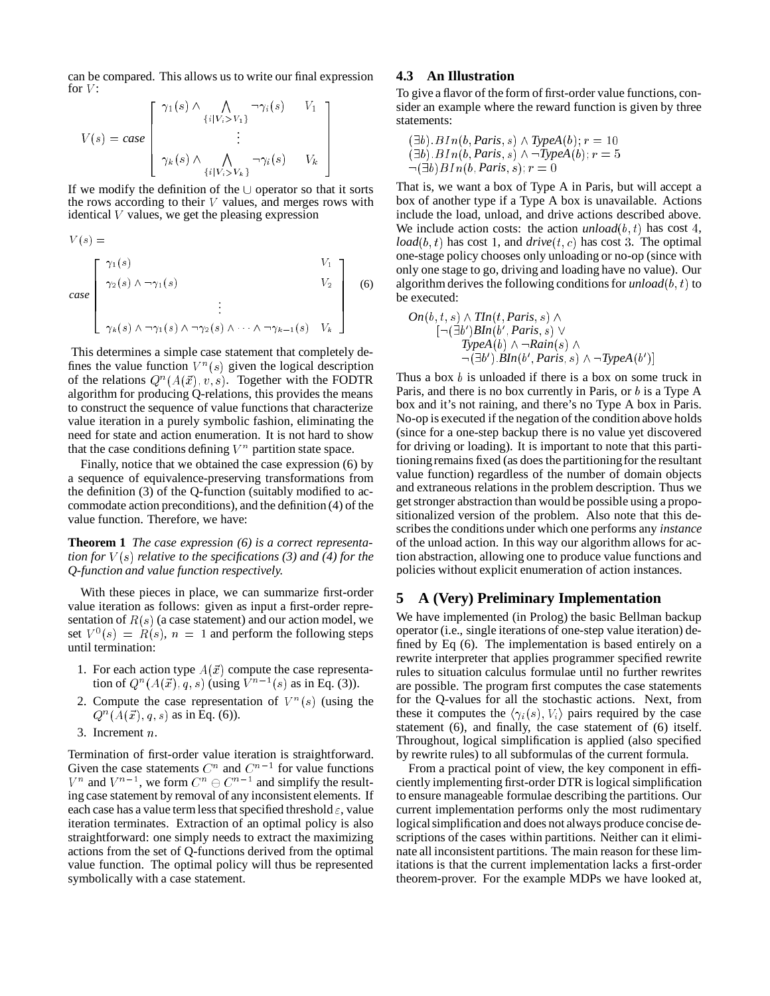can be compared. This allows us to write our final expression for  $V$ :

$$
V(s) = case \begin{bmatrix} \gamma_1(s) \wedge \bigwedge_{\{i|V_i > V_1\}} \neg \gamma_i(s) & V_1 \\ \vdots & \vdots \\ \gamma_k(s) \wedge \bigwedge_{\{i|V_i > V_k\}} \neg \gamma_i(s) & V_k \end{bmatrix}
$$

If we modify the definition of the  $\cup$  operator so that it sorts the rows according to their  $V$  values, and merges rows with identical  $V$  values, we get the pleasing expression

 $V(s) =$ 

*case* <sup>2</sup> <sup>6</sup> <sup>6</sup> <sup>6</sup> <sup>6</sup> <sup>4</sup>  $\gamma_1(s)$   $V_1$  $\gamma_2(s) \wedge \neg \gamma_1(s)$   $V_2$ . . .  $\gamma_k(s) \land \neg \gamma_1(s) \land \neg \gamma_2(s) \land \cdots \land \neg \gamma_{k-1}(s) \quad V_k$ - 1 <sup>7</sup> 77 The Contract of the Contract of the Contract of the Contract of the Contract of the Contract of the Contract of the Contract of the Contract of the Contract of the Contract of the Contract of the Contract of the Contrac 77 The Contract of the Contract of the Contract of the Contract of the Contract of the Contract of the Contract of the Contract of the Contract of the Contract of the Contract of the Contract of the Contract of the Contrac 77 The Contract of the Contract of the Contract of the Contract of the Contract of the Contract of the Contract of the Contract of the Contract of the Contract of the Contract of the Contract of the Contract of the Contrac 55.55 (6)

This determines a simple case statement that completely defines the value function  $V^n(s)$  given the logical description of the relations  $Q^n(A(\vec{x}), v, s)$ . Together with the FODTR algorithm for producing Q-relations, this provides the means to construct the sequence of value functions that characterize value iteration in a purely symbolic fashion, eliminating the need for state and action enumeration. It is not hard to show that the case conditions defining  $V^n$  partition state space.

Finally, notice that we obtained the case expression (6) by a sequence of equivalence-preserving transformations from the definition (3) of the Q-function (suitably modified to accommodate action preconditions), and the definition (4) of the value function. Therefore, we have:

**Theorem 1** *The case expression (6) is a correct representation for* <sup>V</sup> (s) *relative to the specifications (3) and (4) for the Q-function and value function respectively.*

With these pieces in place, we can summarize first-order value iteration as follows: given as input a first-order representation of  $R(s)$  (a case statement) and our action model, we set  $V^0(s) = R(s)$ ,  $n = 1$  and perform the following steps until termination:

- 1. For each action type  $A(\vec{x})$  compute the case representation of  $Q^n(A(\vec{x}), q, s)$  (using  $V^{n-1}(s)$  as in Eq. (3)).
- 2. Compute the case representation of  $V^n(s)$  (using the  $Q^{n}(A(\vec{x}), q, s)$  as in Eq. (6)).
- 3. Increment <sup>n</sup>.

Termination of first-order value iteration is straightforward. Given the case statements  $C^n$  and  $C^{n-1}$  for value functions  $V^n$  and  $V^{n-1}$ , we form  $C^n \ominus C^{n-1}$  and simplify the resulting case statement by removal of any inconsistent elements. If each case has a value term less that specified threshold  $\varepsilon$ , value iteration terminates. Extraction of an optimal policy is also straightforward: one simply needs to extract the maximizing actions from the set of Q-functions derived from the optimal value function. The optimal policy will thus be represented symbolically with a case statement.

# **4.3 An Illustration**

To give a flavor of the form of first-order value functions, consider an example where the reward function is given by three statements:

$$
(\exists b). BIn(b, Paris, s) \land TypeA(b); r = 10
$$
  

$$
(\exists b). BIn(b, Paris, s) \land \neg TypeA(b); r = 5
$$
  

$$
\neg (\exists b) BIn(b, Paris, s); r = 0
$$

That is, we want a box of Type A in Paris, but will accept a box of another type if a Type A box is unavailable. Actions include the load, unload, and drive actions described above. We include action costs: the action  $unload(b, t)$  has cost 4,  $load(b, t)$  has cost 1, and  $drive(t, c)$  has cost 3. The optimal one-stage policy chooses only unloading or no-op (since with only one stage to go, driving and loading have no value). Our algorithm derives the following conditions for  $u n load(b, t)$  to be executed:

$$
On(b, t, s) \land \text{TIn}(t, Paris, s) \land [\neg (\exists b') \text{BIn}(b', Paris, s) \lor TypeA(b) \land \neg \text{Rain}(s) \land \neg (\exists b') \text{.BIn}(b', Paris, s) \land \neg \text{TypeA}(b')]
$$

Thus a box  $b$  is unloaded if there is a box on some truck in Paris, and there is no box currently in Paris, or b is a Type A box and it's not raining, and there's no Type A box in Paris. No-op is executed if the negation of the condition above holds (since for a one-step backup there is no value yet discovered for driving or loading). It is important to note that this partitioningremains fixed (as does the partitioningfor the resultant value function) regardless of the number of domain objects and extraneous relations in the problem description. Thus we get stronger abstraction than would be possible using a propositionalized version of the problem. Also note that this describes the conditions under which one performs any *instance* of the unload action. In this way our algorithm allows for action abstraction, allowing one to produce value functions and policies without explicit enumeration of action instances.

# **5 A (Very) Preliminary Implementation**

We have implemented (in Prolog) the basic Bellman backup operator (i.e., single iterations of one-step value iteration) defined by Eq (6). The implementation is based entirely on a rewrite interpreter that applies programmer specified rewrite rules to situation calculus formulae until no further rewrites are possible. The program first computes the case statements for the Q-values for all the stochastic actions. Next, from these it computes the  $\langle \gamma_i(s), V_i \rangle$  pairs required by the case statement (6), and finally, the case statement of (6) itself. Throughout, logical simplification is applied (also specified by rewrite rules) to all subformulas of the current formula.

From a practical point of view, the key component in efficiently implementing first-order DTR is logical simplification to ensure manageable formulae describing the partitions. Our current implementation performs only the most rudimentary logical simplification and does not always produce concise descriptions of the cases within partitions. Neither can it eliminate all inconsistent partitions. The main reason for these limitations is that the current implementation lacks a first-order theorem-prover. For the example MDPs we have looked at,